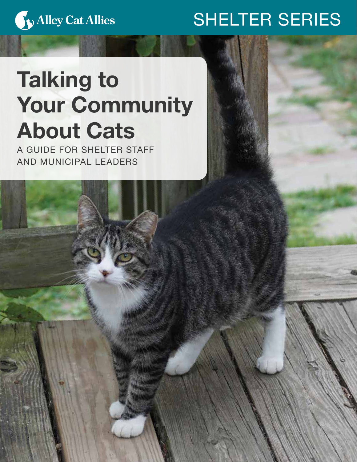

# SHELTER SERIES

TALKING TO YOUR COMMUNITY ABOUT CATS • 1999

# Talking to Your Community About Cats

A GUIDE FOR SHELTER STAFF AND MUNICIPAL LEADERS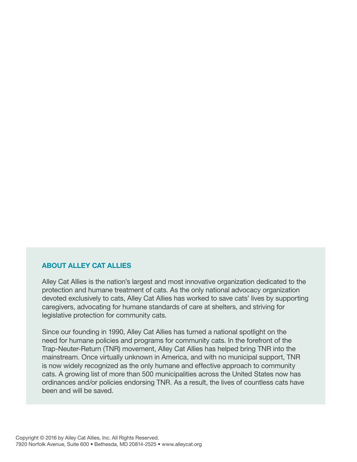#### ABOUT ALLEY CAT ALLIES

Alley Cat Allies is the nation's largest and most innovative organization dedicated to the protection and humane treatment of cats. As the only national advocacy organization devoted exclusively to cats, Alley Cat Allies has worked to save cats' lives by supporting caregivers, advocating for humane standards of care at shelters, and striving for legislative protection for community cats.

Since our founding in 1990, Alley Cat Allies has turned a national spotlight on the need for humane policies and programs for community cats. In the forefront of the Trap-Neuter-Return (TNR) movement, Alley Cat Allies has helped bring TNR into the mainstream. Once virtually unknown in America, and with no municipal support, TNR is now widely recognized as the only humane and effective approach to community cats. A growing list of more than 500 municipalities across the United States now has ordinances and/or policies endorsing TNR. As a result, the lives of countless cats have been and will be saved.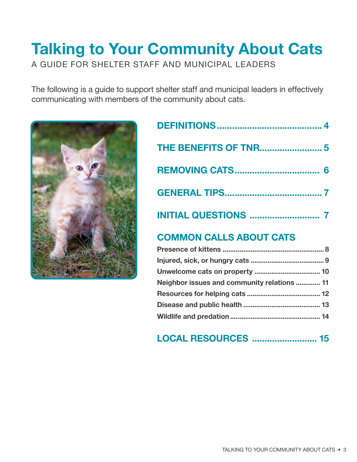# Talking to Your Community About Cats A GUIDE FOR SHELTER STAFF AND MUNICIPAL LEADERS

The following is a guide to support shelter staff and municipal leaders in effectively communicating with members of the community about cats.



| <b>REMOVING CATS</b>      |  |
|---------------------------|--|
|                           |  |
| <b>INITIAL QUESTIONS </b> |  |
|                           |  |

## COMMON CALLS ABOUT CATS

| Neighbor issues and community relations  11 |  |
|---------------------------------------------|--|
|                                             |  |
|                                             |  |
|                                             |  |

## LOCAL RESOURCES .......................... 15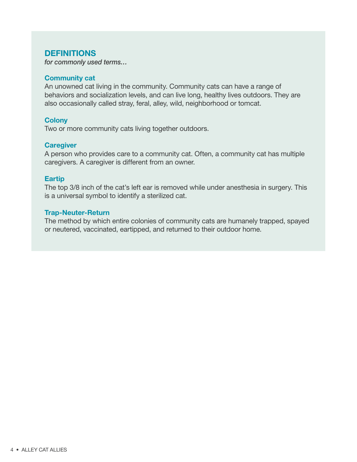#### **DEFINITIONS**

*for commonly used terms…*

#### Community cat

An unowned cat living in the community. Community cats can have a range of behaviors and socialization levels, and can live long, healthy lives outdoors. They are also occasionally called stray, feral, alley, wild, neighborhood or tomcat.

#### **Colony**

Two or more community cats living together outdoors.

#### **Caregiver**

A person who provides care to a community cat. Often, a community cat has multiple caregivers. A caregiver is different from an owner.

#### Eartip

The top 3/8 inch of the cat's left ear is removed while under anesthesia in surgery. This is a universal symbol to identify a sterilized cat.

#### Trap-Neuter-Return

The method by which entire colonies of community cats are humanely trapped, spayed or neutered, vaccinated, eartipped, and returned to their outdoor home.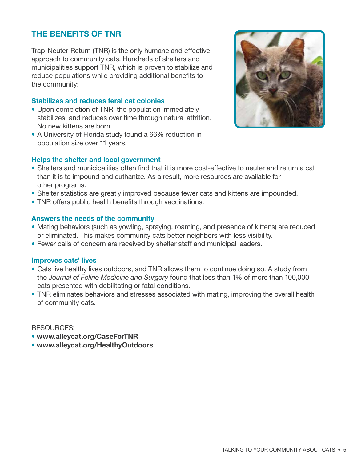## THE BENEFITS OF TNR

Trap-Neuter-Return (TNR) is the only humane and effective approach to community cats. Hundreds of shelters and municipalities support TNR, which is proven to stabilize and reduce populations while providing additional benefits to the community:

#### Stabilizes and reduces feral cat colonies

- Upon completion of TNR, the population immediately stabilizes, and reduces over time through natural attrition. No new kittens are born.
- A University of Florida study found a 66% reduction in population size over 11 years.



#### Helps the shelter and local government

- Shelters and municipalities often find that it is more cost-effective to neuter and return a cat than it is to impound and euthanize. As a result, more resources are available for other programs.
- Shelter statistics are greatly improved because fewer cats and kittens are impounded.
- TNR offers public health benefits through vaccinations.

#### Answers the needs of the community

- Mating behaviors (such as yowling, spraying, roaming, and presence of kittens) are reduced or eliminated. This makes community cats better neighbors with less visibility.
- Fewer calls of concern are received by shelter staff and municipal leaders.

#### Improves cats' lives

- Cats live healthy lives outdoors, and TNR allows them to continue doing so. A study from the *Journal of Feline Medicine and Surgery* found that less than 1% of more than 100,000 cats presented with debilitating or fatal conditions.
- TNR eliminates behaviors and stresses associated with mating, improving the overall health of community cats.

- www.alleycat.org/CaseForTNR
- www.alleycat.org/HealthyOutdoors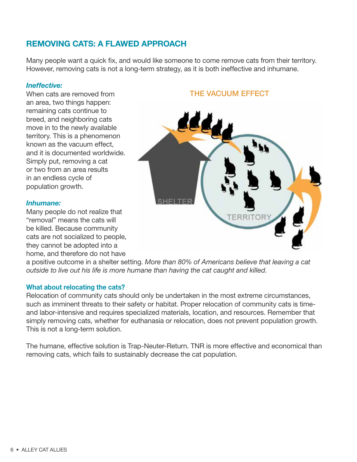## REMOVING CATS: A FLAWED APPROACH

Many people want a quick fix, and would like someone to come remove cats from their territory. However, removing cats is not a long-term strategy, as it is both ineffective and inhumane.

#### *Ineffective:*

When cats are removed from an area, two things happen: remaining cats continue to breed, and neighboring cats move in to the newly available territory. This is a phenomenon known as the vacuum effect, and it is documented worldwide. Simply put, removing a cat or two from an area results in an endless cycle of population growth.

#### *Inhumane:*

Many people do not realize that "removal" means the cats will be killed. Because community cats are not socialized to people, they cannot be adopted into a home, and therefore do not have

#### THE VACUUM EFFECT



a positive outcome in a shelter setting. *More than 80% of Americans believe that leaving a cat outside to live out his life is more humane than having the cat caught and killed.*

#### What about relocating the cats?

Relocation of community cats should only be undertaken in the most extreme circumstances, such as imminent threats to their safety or habitat. Proper relocation of community cats is timeand labor-intensive and requires specialized materials, location, and resources. Remember that simply removing cats, whether for euthanasia or relocation, does not prevent population growth. This is not a long-term solution.

The humane, effective solution is Trap-Neuter-Return. TNR is more effective and economical than removing cats, which fails to sustainably decrease the cat population.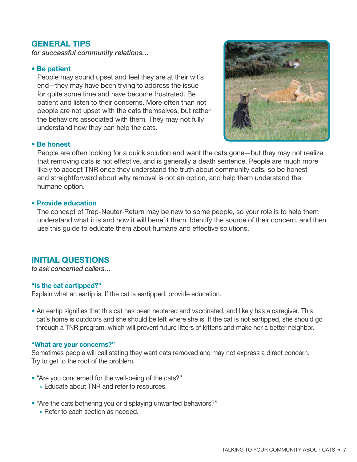### GENERAL TIPS

*for successful community relations…*

#### • Be patient

People may sound upset and feel they are at their wit's end—they may have been trying to address the issue for quite some time and have become frustrated. Be patient and listen to their concerns. More often than not people are not upset with the cats themselves, but rather the behaviors associated with them. They may not fully understand how they can help the cats.



#### • Be honest

People are often looking for a quick solution and want the cats gone—but they may not realize that removing cats is not effective, and is generally a death sentence. People are much more likely to accept TNR once they understand the truth about community cats, so be honest and straightforward about why removal is not an option, and help them understand the humane option.

#### • Provide education

The concept of Trap-Neuter-Return may be new to some people, so your role is to help them understand what it is and how it will benefit them. Identify the source of their concern, and then use this guide to educate them about humane and effective solutions.

#### INITIAL QUESTIONS

*to ask concerned callers…*

#### "Is the cat eartipped?"

Explain what an eartip is. If the cat is eartipped, provide education.

• An eartip signifies that this cat has been neutered and vaccinated, and likely has a caregiver. This cat's home is outdoors and she should be left where she is. If the cat is not eartipped, she should go through a TNR program, which will prevent future litters of kittens and make her a better neighbor.

#### "What are your concerns?"

Sometimes people will call stating they want cats removed and may not express a direct concern. Try to get to the root of the problem.

- "Are you concerned for the well-being of the cats?"
	- » Educate about TNR and refer to resources.
- "Are the cats bothering you or displaying unwanted behaviors?"
	- » Refer to each section as needed.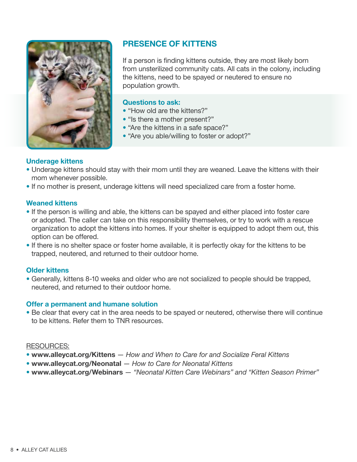

## PRESENCE OF KITTENS

If a person is finding kittens outside, they are most likely born from unsterilized community cats. All cats in the colony, including the kittens, need to be spayed or neutered to ensure no population growth.

#### Questions to ask:

- "How old are the kittens?"
- "Is there a mother present?"
- "Are the kittens in a safe space?"
- "Are you able/willing to foster or adopt?"

#### Underage kittens

- Underage kittens should stay with their mom until they are weaned. Leave the kittens with their mom whenever possible.
- If no mother is present, underage kittens will need specialized care from a foster home.

#### Weaned kittens

- If the person is willing and able, the kittens can be spayed and either placed into foster care or adopted. The caller can take on this responsibility themselves, or try to work with a rescue organization to adopt the kittens into homes. If your shelter is equipped to adopt them out, this option can be offered.
- If there is no shelter space or foster home available, it is perfectly okay for the kittens to be trapped, neutered, and returned to their outdoor home.

#### Older kittens

• Generally, kittens 8-10 weeks and older who are not socialized to people should be trapped, neutered, and returned to their outdoor home.

#### Offer a permanent and humane solution

• Be clear that every cat in the area needs to be spayed or neutered, otherwise there will continue to be kittens. Refer them to TNR resources.

- www.alleycat.org/Kittens *How and When to Care for and Socialize Feral Kittens*
- www.alleycat.org/Neonatal *How to Care for Neonatal Kittens*
- www.alleycat.org/Webinars *"Neonatal Kitten Care Webinars" and "Kitten Season Primer"*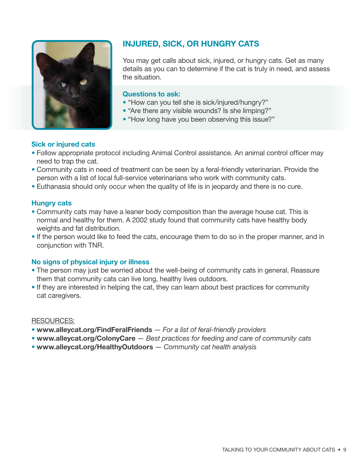

## INJURED, SICK, OR HUNGRY CATS

You may get calls about sick, injured, or hungry cats. Get as many details as you can to determine if the cat is truly in need, and assess the situation.

#### Questions to ask:

- "How can you tell she is sick/injured/hungry?"
- "Are there any visible wounds? Is she limping?"
- "How long have you been observing this issue?"

#### Sick or injured cats

- Follow appropriate protocol including Animal Control assistance. An animal control officer may need to trap the cat.
- Community cats in need of treatment can be seen by a feral-friendly veterinarian. Provide the person with a list of local full-service veterinarians who work with community cats.
- Euthanasia should only occur when the quality of life is in jeopardy and there is no cure.

#### Hungry cats

- Community cats may have a leaner body composition than the average house cat. This is normal and healthy for them. A 2002 study found that community cats have healthy body weights and fat distribution.
- If the person would like to feed the cats, encourage them to do so in the proper manner, and in conjunction with TNR.

#### No signs of physical injury or illness

- The person may just be worried about the well-being of community cats in general. Reassure them that community cats can live long, healthy lives outdoors.
- If they are interested in helping the cat, they can learn about best practices for community cat caregivers.

- www.alleycat.org/FindFeralFriends *For a list of feral-friendly providers*
- www.alleycat.org/ColonyCare *Best practices for feeding and care of community cats*
- www.alleycat.org/HealthyOutdoors *Community cat health analysis*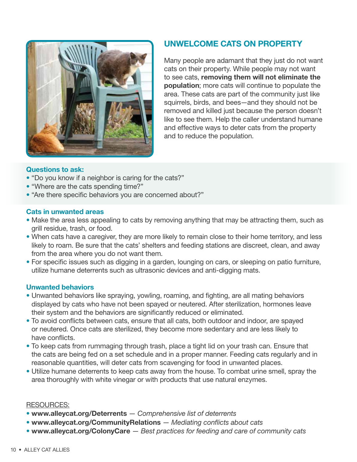

## UNWELCOME CATS ON PROPERTY

Many people are adamant that they just do not want cats on their property. While people may not want to see cats, removing them will not eliminate the population; more cats will continue to populate the area. These cats are part of the community just like squirrels, birds, and bees—and they should not be removed and killed just because the person doesn't like to see them. Help the caller understand humane and effective ways to deter cats from the property and to reduce the population.

#### Questions to ask:

- "Do you know if a neighbor is caring for the cats?"
- "Where are the cats spending time?"
- "Are there specific behaviors you are concerned about?"

#### Cats in unwanted areas

- Make the area less appealing to cats by removing anything that may be attracting them, such as grill residue, trash, or food.
- When cats have a caregiver, they are more likely to remain close to their home territory, and less likely to roam. Be sure that the cats' shelters and feeding stations are discreet, clean, and away from the area where you do not want them.
- For specific issues such as digging in a garden, lounging on cars, or sleeping on patio furniture, utilize humane deterrents such as ultrasonic devices and anti-digging mats.

#### Unwanted behaviors

- Unwanted behaviors like spraying, yowling, roaming, and fighting, are all mating behaviors displayed by cats who have not been spayed or neutered. After sterilization, hormones leave their system and the behaviors are significantly reduced or eliminated.
- To avoid conflicts between cats, ensure that all cats, both outdoor and indoor, are spayed or neutered. Once cats are sterilized, they become more sedentary and are less likely to have conflicts.
- To keep cats from rummaging through trash, place a tight lid on your trash can. Ensure that the cats are being fed on a set schedule and in a proper manner. Feeding cats regularly and in reasonable quantities, will deter cats from scavenging for food in unwanted places.
- Utilize humane deterrents to keep cats away from the house. To combat urine smell, spray the area thoroughly with white vinegar or with products that use natural enzymes.

- www.alleycat.org/Deterrents *Comprehensive list of deterrents*
- www.alleycat.org/CommunityRelations *Mediating conflicts about cats*
- www.alleycat.org/ColonyCare *Best practices for feeding and care of community cats*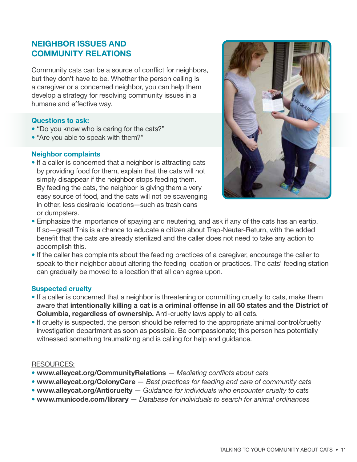## NEIGHBOR ISSUES AND COMMUNITY RELATIONS

Community cats can be a source of conflict for neighbors, but they don't have to be. Whether the person calling is a caregiver or a concerned neighbor, you can help them develop a strategy for resolving community issues in a humane and effective way.

#### Questions to ask:

- "Do you know who is caring for the cats?"
- "Are you able to speak with them?"

#### Neighbor complaints

• If a caller is concerned that a neighbor is attracting cats by providing food for them, explain that the cats will not simply disappear if the neighbor stops feeding them. By feeding the cats, the neighbor is giving them a very easy source of food, and the cats will not be scavenging in other, less desirable locations—such as trash cans or dumpsters.



- Emphasize the importance of spaying and neutering, and ask if any of the cats has an eartip. If so—great! This is a chance to educate a citizen about Trap-Neuter-Return, with the added benefit that the cats are already sterilized and the caller does not need to take any action to accomplish this.
- If the caller has complaints about the feeding practices of a caregiver, encourage the caller to speak to their neighbor about altering the feeding location or practices. The cats' feeding station can gradually be moved to a location that all can agree upon.

#### Suspected cruelty

- If a caller is concerned that a neighbor is threatening or committing cruelty to cats, make them aware that intentionally killing a cat is a criminal offense in all 50 states and the District of Columbia, regardless of ownership. Anti-cruelty laws apply to all cats.
- If cruelty is suspected, the person should be referred to the appropriate animal control/cruelty investigation department as soon as possible. Be compassionate; this person has potentially witnessed something traumatizing and is calling for help and guidance.

- www.alleycat.org/CommunityRelations *Mediating conflicts about cats*
- www.alleycat.org/ColonyCare *Best practices for feeding and care of community cats*
- www.alleycat.org/Anticruelty *Guidance for individuals who encounter cruelty to cats*
- www.municode.com/library — *Database for individuals to search for animal ordinances*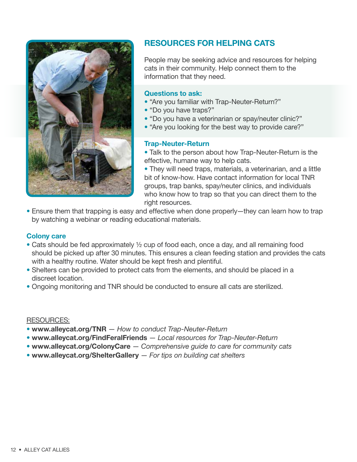

## RESOURCES FOR HELPING CATS

People may be seeking advice and resources for helping cats in their community. Help connect them to the information that they need.

#### Questions to ask:

- "Are you familiar with Trap-Neuter-Return?"
- "Do you have traps?"
- "Do you have a veterinarian or spay/neuter clinic?"
- "Are you looking for the best way to provide care?"

#### Trap-Neuter-Return

- Talk to the person about how Trap-Neuter-Return is the effective, humane way to help cats.
- They will need traps, materials, a veterinarian, and a little bit of know-how. Have contact information for local TNR groups, trap banks, spay/neuter clinics, and individuals who know how to trap so that you can direct them to the right resources.
- Ensure them that trapping is easy and effective when done properly—they can learn how to trap by watching a webinar or reading educational materials.

#### Colony care

- Cats should be fed approximately ½ cup of food each, once a day, and all remaining food should be picked up after 30 minutes. This ensures a clean feeding station and provides the cats with a healthy routine. Water should be kept fresh and plentiful.
- Shelters can be provided to protect cats from the elements, and should be placed in a discreet location.
- Ongoing monitoring and TNR should be conducted to ensure all cats are sterilized.

- www.alleycat.org/TNR *How to conduct Trap-Neuter-Return*
- www.alleycat.org/FindFeralFriends *Local resources for Trap-Neuter-Return*
- www.alleycat.org/ColonyCare *Comprehensive guide to care for community cats*
- www.alleycat.org/ShelterGallery *For tips on building cat shelters*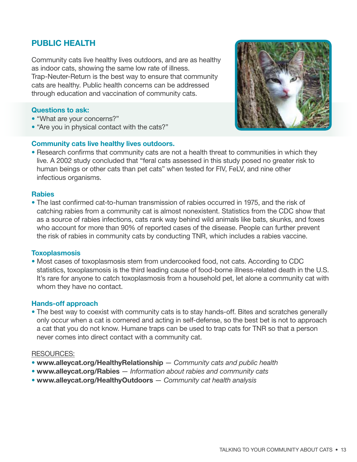#### TALKING TO YOUR COMMUNITY ABOUT CATS • 13

## PUBLIC HEALTH

Community cats live healthy lives outdoors, and are as healthy as indoor cats, showing the same low rate of illness. Trap-Neuter-Return is the best way to ensure that community cats are healthy. Public health concerns can be addressed through education and vaccination of community cats.

#### Questions to ask:

- "What are your concerns?"
- "Are you in physical contact with the cats?"

#### Community cats live healthy lives outdoors.

• Research confirms that community cats are not a health threat to communities in which they live. A 2002 study concluded that "feral cats assessed in this study posed no greater risk to human beings or other cats than pet cats" when tested for FIV, FeLV, and nine other infectious organisms.

#### **Rabies**

• The last confirmed cat-to-human transmission of rabies occurred in 1975, and the risk of catching rabies from a community cat is almost nonexistent. Statistics from the CDC show that as a source of rabies infections, cats rank way behind wild animals like bats, skunks, and foxes who account for more than 90% of reported cases of the disease. People can further prevent the risk of rabies in community cats by conducting TNR, which includes a rabies vaccine.

#### **Toxoplasmosis**

• Most cases of toxoplasmosis stem from undercooked food, not cats. According to CDC statistics, toxoplasmosis is the third leading cause of food-borne illness-related death in the U.S. It's rare for anyone to catch toxoplasmosis from a household pet, let alone a community cat with whom they have no contact.

#### Hands-off approach

• The best way to coexist with community cats is to stay hands-off. Bites and scratches generally only occur when a cat is cornered and acting in self-defense, so the best bet is not to approach a cat that you do not know. Humane traps can be used to trap cats for TNR so that a person never comes into direct contact with a community cat.

- www.alleycat.org/HealthyRelationship *Community cats and public health*
- www.alleycat.org/Rabies *Information about rabies and community cats*
- www.alleycat.org/HealthyOutdoors *Community cat health analysis*

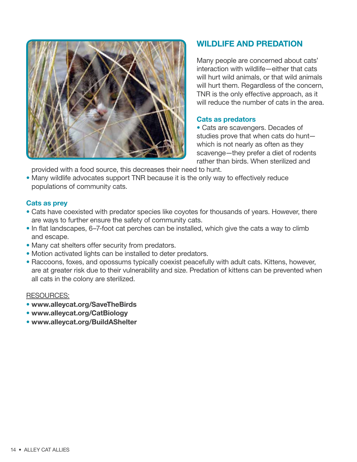

## WILDLIFE AND PREDATION

Many people are concerned about cats' interaction with wildlife—either that cats will hurt wild animals, or that wild animals will hurt them. Regardless of the concern, TNR is the only effective approach, as it will reduce the number of cats in the area.

#### Cats as predators

• Cats are scavengers. Decades of studies prove that when cats do hunt which is not nearly as often as they scavenge—they prefer a diet of rodents rather than birds. When sterilized and

provided with a food source, this decreases their need to hunt.

• Many wildlife advocates support TNR because it is the only way to effectively reduce populations of community cats.

#### Cats as prey

- Cats have coexisted with predator species like coyotes for thousands of years. However, there are ways to further ensure the safety of community cats.
- In flat landscapes, 6–7-foot cat perches can be installed, which give the cats a way to climb and escape.
- Many cat shelters offer security from predators.
- Motion activated lights can be installed to deter predators.
- Raccoons, foxes, and opossums typically coexist peacefully with adult cats. Kittens, however, are at greater risk due to their vulnerability and size. Predation of kittens can be prevented when all cats in the colony are sterilized.

- www.alleycat.org/SaveTheBirds
- www.alleycat.org/CatBiology
- www.alleycat.org/BuildAShelter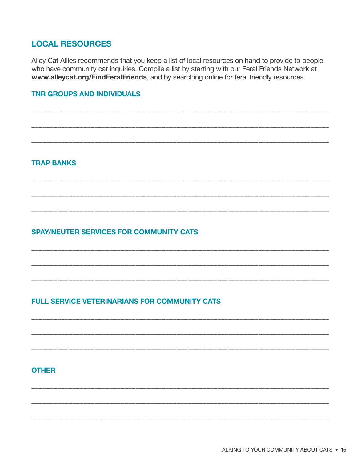## **LOCAL RESOURCES**

Alley Cat Allies recommends that you keep a list of local resources on hand to provide to people who have community cat inquiries. Compile a list by starting with our Feral Friends Network at www.alleycat.org/FindFeralFriends, and by searching online for feral friendly resources.

#### **TNR GROUPS AND INDIVIDUALS**

#### **TRAP BANKS**

### **SPAY/NEUTER SERVICES FOR COMMUNITY CATS**

#### **FULL SERVICE VETERINARIANS FOR COMMUNITY CATS**

#### **OTHER**